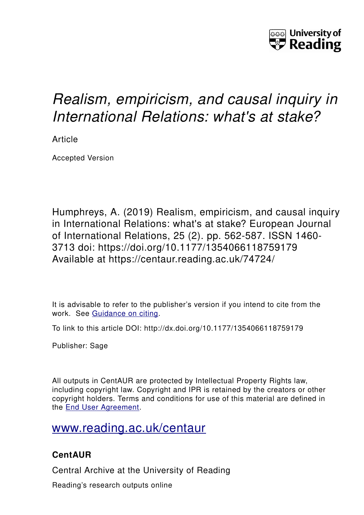

# *Realism, empiricism, and causal inquiry in International Relations: what's at stake?*

Article

Accepted Version

Humphreys, A. (2019) Realism, empiricism, and causal inquiry in International Relations: what's at stake? European Journal of International Relations, 25 (2). pp. 562-587. ISSN 1460- 3713 doi: https://doi.org/10.1177/1354066118759179 Available at https://centaur.reading.ac.uk/74724/

It is advisable to refer to the publisher's version if you intend to cite from the work. See [Guidance on citing.](http://centaur.reading.ac.uk/71187/10/CentAUR%20citing%20guide.pdf)

To link to this article DOI: http://dx.doi.org/10.1177/1354066118759179

Publisher: Sage

All outputs in CentAUR are protected by Intellectual Property Rights law, including copyright law. Copyright and IPR is retained by the creators or other copyright holders. Terms and conditions for use of this material are defined in the [End User Agreement.](http://centaur.reading.ac.uk/licence)

# [www.reading.ac.uk/centaur](http://www.reading.ac.uk/centaur)

# **CentAUR**

Central Archive at the University of Reading

Reading's research outputs online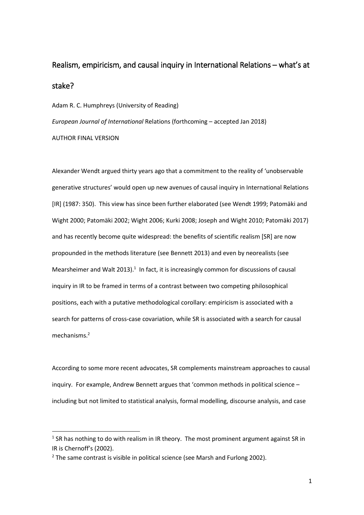# Realism, empiricism, and causal inquiry in International Relations – what's at stake?

Adam R. C. Humphreys (University of Reading)

*European Journal of International* Relations (forthcoming – accepted Jan 2018)

AUTHOR FINAL VERSION

**.** 

Alexander Wendt argued thirty years ago that a commitment to the reality of 'unobservable generative structures' would open up new avenues of causal inquiry in International Relations [IR] (1987: 350). This view has since been further elaborated (see Wendt 1999; Patomäki and Wight 2000; Patomäki 2002; Wight 2006; Kurki 2008; Joseph and Wight 2010; Patomäki 2017) and has recently become quite widespread: the benefits of scientific realism [SR] are now propounded in the methods literature (see Bennett 2013) and even by neorealists (see Mearsheimer and Walt 2013). $1$  In fact, it is increasingly common for discussions of causal inquiry in IR to be framed in terms of a contrast between two competing philosophical positions, each with a putative methodological corollary: empiricism is associated with a search for patterns of cross-case covariation, while SR is associated with a search for causal mechanisms.<sup>2</sup>

According to some more recent advocates, SR complements mainstream approaches to causal inquiry. For example, Andrew Bennett argues that 'common methods in political science – including but not limited to statistical analysis, formal modelling, discourse analysis, and case

 $<sup>1</sup>$  SR has nothing to do with realism in IR theory. The most prominent argument against SR in</sup> IR is Chernoff's (2002).

 $2$  The same contrast is visible in political science (see Marsh and Furlong 2002).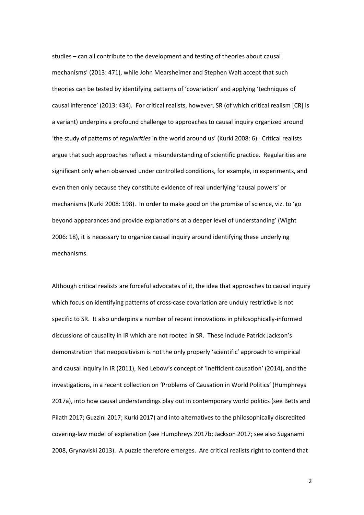studies – can all contribute to the development and testing of theories about causal mechanisms' (2013: 471), while John Mearsheimer and Stephen Walt accept that such theories can be tested by identifying patterns of 'covariation' and applying 'techniques of causal inference' (2013: 434). For critical realists, however, SR (of which critical realism [CR] is a variant) underpins a profound challenge to approaches to causal inquiry organized around 'the study of patterns of *regularities* in the world around us' (Kurki 2008: 6). Critical realists argue that such approaches reflect a misunderstanding of scientific practice. Regularities are significant only when observed under controlled conditions, for example, in experiments, and even then only because they constitute evidence of real underlying 'causal powers' or mechanisms (Kurki 2008: 198). In order to make good on the promise of science, viz. to 'go beyond appearances and provide explanations at a deeper level of understanding' (Wight 2006: 18), it is necessary to organize causal inquiry around identifying these underlying mechanisms.

Although critical realists are forceful advocates of it, the idea that approaches to causal inquiry which focus on identifying patterns of cross-case covariation are unduly restrictive is not specific to SR. It also underpins a number of recent innovations in philosophically-informed discussions of causality in IR which are not rooted in SR. These include Patrick Jackson's demonstration that neopositivism is not the only properly 'scientific' approach to empirical and causal inquiry in IR (2011), Ned Lebow's concept of 'inefficient causation' (2014), and the investigations, in a recent collection on 'Problems of Causation in World Politics' (Humphreys 2017a), into how causal understandings play out in contemporary world politics (see Betts and Pilath 2017; Guzzini 2017; Kurki 2017) and into alternatives to the philosophically discredited covering-law model of explanation (see Humphreys 2017b; Jackson 2017; see also Suganami 2008, Grynaviski 2013). A puzzle therefore emerges. Are critical realists right to contend that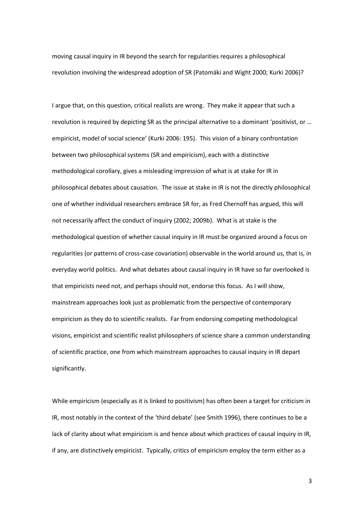moving causal inquiry in IR beyond the search for regularities requires a philosophical revolution involving the widespread adoption of SR (Patomäki and Wight 2000; Kurki 2006)?

I argue that, on this question, critical realists are wrong. They make it appear that such a revolution is required by depicting SR as the principal alternative to a dominant 'positivist, or … empiricist, model of social science' (Kurki 2006: 195). This vision of a binary confrontation between two philosophical systems (SR and empiricism), each with a distinctive methodological corollary, gives a misleading impression of what is at stake for IR in philosophical debates about causation. The issue at stake in IR is not the directly philosophical one of whether individual researchers embrace SR for, as Fred Chernoff has argued, this will not necessarily affect the conduct of inquiry (2002; 2009b). What is at stake is the methodological question of whether causal inquiry in IR must be organized around a focus on regularities (or patterns of cross-case covariation) observable in the world around us, that is, in everyday world politics. And what debates about causal inquiry in IR have so far overlooked is that empiricists need not, and perhaps should not, endorse this focus. As I will show, mainstream approaches look just as problematic from the perspective of contemporary empiricism as they do to scientific realists. Far from endorsing competing methodological visions, empiricist and scientific realist philosophers of science share a common understanding of scientific practice, one from which mainstream approaches to causal inquiry in IR depart significantly.

While empiricism (especially as it is linked to positivism) has often been a target for criticism in IR, most notably in the context of the 'third debate' (see Smith 1996), there continues to be a lack of clarity about what empiricism is and hence about which practices of causal inquiry in IR, if any, are distinctively empiricist. Typically, critics of empiricism employ the term either as a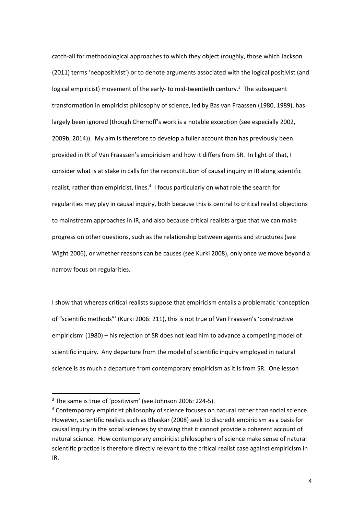catch-all for methodological approaches to which they object (roughly, those which Jackson (2011) terms 'neopositivist') or to denote arguments associated with the logical positivist (and logical empiricist) movement of the early- to mid-twentieth century.<sup>3</sup> The subsequent transformation in empiricist philosophy of science, led by Bas van Fraassen (1980, 1989), has largely been ignored (though Chernoff's work is a notable exception (see especially 2002, 2009b, 2014)). My aim is therefore to develop a fuller account than has previously been provided in IR of Van Fraassen's empiricism and how it differs from SR. In light of that, I consider what is at stake in calls for the reconstitution of causal inquiry in IR along scientific realist, rather than empiricist, lines.<sup>4</sup> I focus particularly on what role the search for regularities may play in causal inquiry, both because this is central to critical realist objections to mainstream approaches in IR, and also because critical realists argue that we can make progress on other questions, such as the relationship between agents and structures (see Wight 2006), or whether reasons can be causes (see Kurki 2008), only once we move beyond a narrow focus on regularities.

I show that whereas critical realists suppose that empiricism entails a problematic 'conception of "scientific methods"' (Kurki 2006: 211), this is not true of Van Fraassen's 'constructive empiricism' (1980) – his rejection of SR does not lead him to advance a competing model of scientific inquiry. Any departure from the model of scientific inquiry employed in natural science is as much a departure from contemporary empiricism as it is from SR. One lesson

**.** 

<sup>&</sup>lt;sup>3</sup> The same is true of 'positivism' (see Johnson 2006: 224-5).

<sup>4</sup> Contemporary empiricist philosophy of science focuses on natural rather than social science. However, scientific realists such as Bhaskar (2008) seek to discredit empiricism as a basis for causal inquiry in the social sciences by showing that it cannot provide a coherent account of natural science. How contemporary empiricist philosophers of science make sense of natural scientific practice is therefore directly relevant to the critical realist case against empiricism in IR.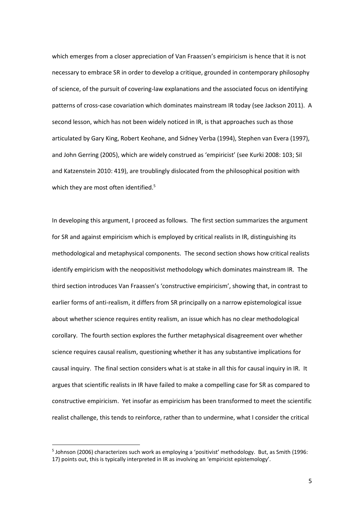which emerges from a closer appreciation of Van Fraassen's empiricism is hence that it is not necessary to embrace SR in order to develop a critique, grounded in contemporary philosophy of science, of the pursuit of covering-law explanations and the associated focus on identifying patterns of cross-case covariation which dominates mainstream IR today (see Jackson 2011). A second lesson, which has not been widely noticed in IR, is that approaches such as those articulated by Gary King, Robert Keohane, and Sidney Verba (1994), Stephen van Evera (1997), and John Gerring (2005), which are widely construed as 'empiricist' (see Kurki 2008: 103; Sil and Katzenstein 2010: 419), are troublingly dislocated from the philosophical position with which they are most often identified.<sup>5</sup>

In developing this argument, I proceed as follows. The first section summarizes the argument for SR and against empiricism which is employed by critical realists in IR, distinguishing its methodological and metaphysical components. The second section shows how critical realists identify empiricism with the neopositivist methodology which dominates mainstream IR. The third section introduces Van Fraassen's 'constructive empiricism', showing that, in contrast to earlier forms of anti-realism, it differs from SR principally on a narrow epistemological issue about whether science requires entity realism, an issue which has no clear methodological corollary. The fourth section explores the further metaphysical disagreement over whether science requires causal realism, questioning whether it has any substantive implications for causal inquiry. The final section considers what is at stake in all this for causal inquiry in IR. It argues that scientific realists in IR have failed to make a compelling case for SR as compared to constructive empiricism. Yet insofar as empiricism has been transformed to meet the scientific realist challenge, this tends to reinforce, rather than to undermine, what I consider the critical

 $\overline{a}$ 

<sup>&</sup>lt;sup>5</sup> Johnson (2006) characterizes such work as employing a 'positivist' methodology. But, as Smith (1996: 17) points out, this is typically interpreted in IR as involving an 'empiricist epistemology'.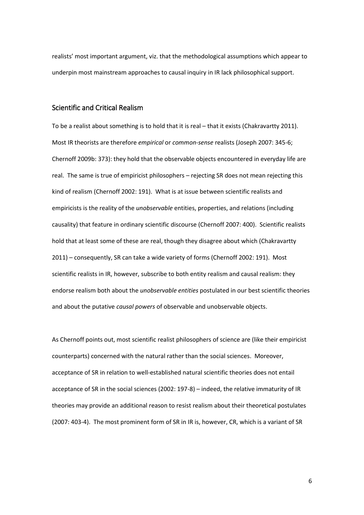realists' most important argument, viz. that the methodological assumptions which appear to underpin most mainstream approaches to causal inquiry in IR lack philosophical support.

### Scientific and Critical Realism

To be a realist about something is to hold that it is real – that it exists (Chakravartty 2011). Most IR theorists are therefore *empirical* or *common-sense* realists (Joseph 2007: 345-6; Chernoff 2009b: 373): they hold that the observable objects encountered in everyday life are real. The same is true of empiricist philosophers – rejecting SR does not mean rejecting this kind of realism (Chernoff 2002: 191). What is at issue between scientific realists and empiricists is the reality of the *unobservable* entities, properties, and relations (including causality) that feature in ordinary scientific discourse (Chernoff 2007: 400). Scientific realists hold that at least some of these are real, though they disagree about which (Chakravartty 2011) – consequently, SR can take a wide variety of forms (Chernoff 2002: 191). Most scientific realists in IR, however, subscribe to both entity realism and causal realism: they endorse realism both about the *unobservable entities* postulated in our best scientific theories and about the putative *causal powers* of observable and unobservable objects.

As Chernoff points out, most scientific realist philosophers of science are (like their empiricist counterparts) concerned with the natural rather than the social sciences. Moreover, acceptance of SR in relation to well-established natural scientific theories does not entail acceptance of SR in the social sciences (2002: 197-8) – indeed, the relative immaturity of IR theories may provide an additional reason to resist realism about their theoretical postulates (2007: 403-4). The most prominent form of SR in IR is, however, CR, which is a variant of SR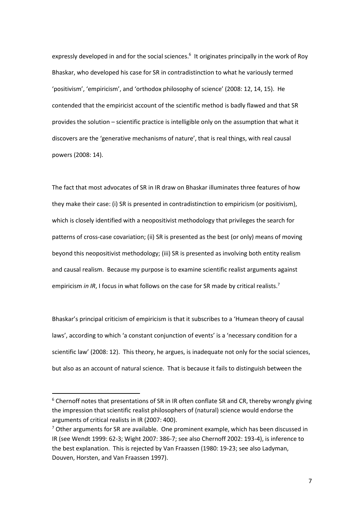expressly developed in and for the social sciences.<sup>6</sup> It originates principally in the work of Roy Bhaskar, who developed his case for SR in contradistinction to what he variously termed 'positivism', 'empiricism', and 'orthodox philosophy of science' (2008: 12, 14, 15). He contended that the empiricist account of the scientific method is badly flawed and that SR provides the solution – scientific practice is intelligible only on the assumption that what it discovers are the 'generative mechanisms of nature', that is real things, with real causal powers (2008: 14).

The fact that most advocates of SR in IR draw on Bhaskar illuminates three features of how they make their case: (i) SR is presented in contradistinction to empiricism (or positivism), which is closely identified with a neopositivist methodology that privileges the search for patterns of cross-case covariation; (ii) SR is presented as the best (or only) means of moving beyond this neopositivist methodology; (iii) SR is presented as involving both entity realism and causal realism. Because my purpose is to examine scientific realist arguments against empiricism *in IR*, I focus in what follows on the case for SR made by critical realists.<sup>7</sup>

Bhaskar's principal criticism of empiricism is that it subscribes to a 'Humean theory of causal laws', according to which 'a constant conjunction of events' is a 'necessary condition for a scientific law' (2008: 12). This theory, he argues, is inadequate not only for the social sciences, but also as an account of natural science. That is because it fails to distinguish between the

**.** 

<sup>&</sup>lt;sup>6</sup> Chernoff notes that presentations of SR in IR often conflate SR and CR, thereby wrongly giving the impression that scientific realist philosophers of (natural) science would endorse the arguments of critical realists in IR (2007: 400).

 $7$  Other arguments for SR are available. One prominent example, which has been discussed in IR (see Wendt 1999: 62-3; Wight 2007: 386-7; see also Chernoff 2002: 193-4), is inference to the best explanation. This is rejected by Van Fraassen (1980: 19-23; see also Ladyman, Douven, Horsten, and Van Fraassen 1997).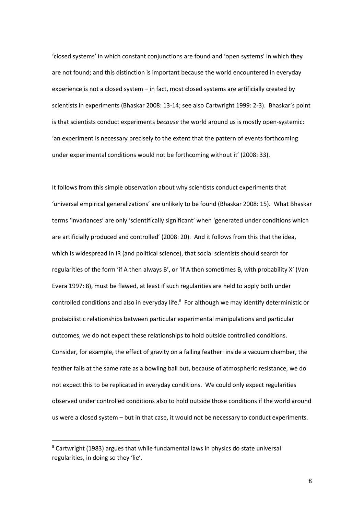'closed systems' in which constant conjunctions are found and 'open systems' in which they are not found; and this distinction is important because the world encountered in everyday experience is not a closed system – in fact, most closed systems are artificially created by scientists in experiments (Bhaskar 2008: 13-14; see also Cartwright 1999: 2-3). Bhaskar's point is that scientists conduct experiments *because* the world around us is mostly open-systemic: 'an experiment is necessary precisely to the extent that the pattern of events forthcoming under experimental conditions would not be forthcoming without it' (2008: 33).

It follows from this simple observation about why scientists conduct experiments that 'universal empirical generalizations' are unlikely to be found (Bhaskar 2008: 15). What Bhaskar terms 'invariances' are only 'scientifically significant' when 'generated under conditions which are artificially produced and controlled' (2008: 20). And it follows from this that the idea, which is widespread in IR (and political science), that social scientists should search for regularities of the form 'if A then always B', or 'if A then sometimes B, with probability X' (Van Evera 1997: 8), must be flawed, at least if such regularities are held to apply both under controlled conditions and also in everyday life.<sup>8</sup> For although we may identify deterministic or probabilistic relationships between particular experimental manipulations and particular outcomes, we do not expect these relationships to hold outside controlled conditions. Consider, for example, the effect of gravity on a falling feather: inside a vacuum chamber, the feather falls at the same rate as a bowling ball but, because of atmospheric resistance, we do not expect this to be replicated in everyday conditions. We could only expect regularities observed under controlled conditions also to hold outside those conditions if the world around us were a closed system – but in that case, it would not be necessary to conduct experiments.

 $8$  Cartwright (1983) argues that while fundamental laws in physics do state universal regularities, in doing so they 'lie'.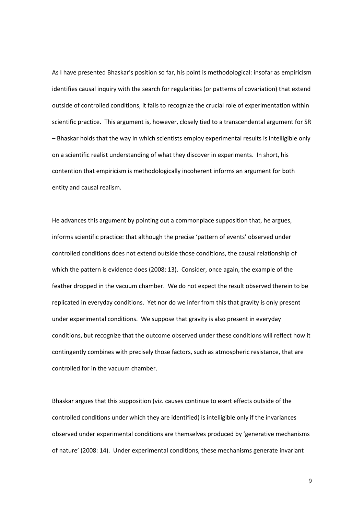As I have presented Bhaskar's position so far, his point is methodological: insofar as empiricism identifies causal inquiry with the search for regularities (or patterns of covariation) that extend outside of controlled conditions, it fails to recognize the crucial role of experimentation within scientific practice. This argument is, however, closely tied to a transcendental argument for SR – Bhaskar holds that the way in which scientists employ experimental results is intelligible only on a scientific realist understanding of what they discover in experiments. In short, his contention that empiricism is methodologically incoherent informs an argument for both entity and causal realism.

He advances this argument by pointing out a commonplace supposition that, he argues, informs scientific practice: that although the precise 'pattern of events' observed under controlled conditions does not extend outside those conditions, the causal relationship of which the pattern is evidence does (2008: 13). Consider, once again, the example of the feather dropped in the vacuum chamber. We do not expect the result observed therein to be replicated in everyday conditions. Yet nor do we infer from this that gravity is only present under experimental conditions. We suppose that gravity is also present in everyday conditions, but recognize that the outcome observed under these conditions will reflect how it contingently combines with precisely those factors, such as atmospheric resistance, that are controlled for in the vacuum chamber.

Bhaskar argues that this supposition (viz. causes continue to exert effects outside of the controlled conditions under which they are identified) is intelligible only if the invariances observed under experimental conditions are themselves produced by 'generative mechanisms of nature' (2008: 14). Under experimental conditions, these mechanisms generate invariant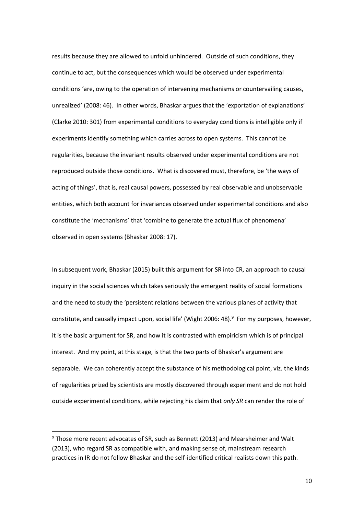results because they are allowed to unfold unhindered. Outside of such conditions, they continue to act, but the consequences which would be observed under experimental conditions 'are, owing to the operation of intervening mechanisms or countervailing causes, unrealized' (2008: 46). In other words, Bhaskar argues that the 'exportation of explanations' (Clarke 2010: 301) from experimental conditions to everyday conditions is intelligible only if experiments identify something which carries across to open systems. This cannot be regularities, because the invariant results observed under experimental conditions are not reproduced outside those conditions. What is discovered must, therefore, be 'the ways of acting of things', that is, real causal powers, possessed by real observable and unobservable entities, which both account for invariances observed under experimental conditions and also constitute the 'mechanisms' that 'combine to generate the actual flux of phenomena' observed in open systems (Bhaskar 2008: 17).

In subsequent work, Bhaskar (2015) built this argument for SR into CR, an approach to causal inquiry in the social sciences which takes seriously the emergent reality of social formations and the need to study the 'persistent relations between the various planes of activity that constitute, and causally impact upon, social life' (Wight 2006: 48).<sup>9</sup> For my purposes, however, it is the basic argument for SR, and how it is contrasted with empiricism which is of principal interest. And my point, at this stage, is that the two parts of Bhaskar's argument are separable. We can coherently accept the substance of his methodological point, viz. the kinds of regularities prized by scientists are mostly discovered through experiment and do not hold outside experimental conditions, while rejecting his claim that *only SR* can render the role of

**.** 

<sup>9</sup> Those more recent advocates of SR, such as Bennett (2013) and Mearsheimer and Walt (2013), who regard SR as compatible with, and making sense of, mainstream research practices in IR do not follow Bhaskar and the self-identified critical realists down this path.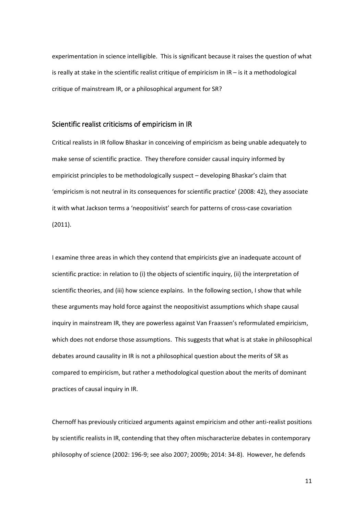experimentation in science intelligible. This is significant because it raises the question of what is really at stake in the scientific realist critique of empiricism in IR – is it a methodological critique of mainstream IR, or a philosophical argument for SR?

# Scientific realist criticisms of empiricism in IR

Critical realists in IR follow Bhaskar in conceiving of empiricism as being unable adequately to make sense of scientific practice. They therefore consider causal inquiry informed by empiricist principles to be methodologically suspect – developing Bhaskar's claim that 'empiricism is not neutral in its consequences for scientific practice' (2008: 42), they associate it with what Jackson terms a 'neopositivist' search for patterns of cross-case covariation (2011).

I examine three areas in which they contend that empiricists give an inadequate account of scientific practice: in relation to (i) the objects of scientific inquiry, (ii) the interpretation of scientific theories, and (iii) how science explains. In the following section, I show that while these arguments may hold force against the neopositivist assumptions which shape causal inquiry in mainstream IR, they are powerless against Van Fraassen's reformulated empiricism, which does not endorse those assumptions. This suggests that what is at stake in philosophical debates around causality in IR is not a philosophical question about the merits of SR as compared to empiricism, but rather a methodological question about the merits of dominant practices of causal inquiry in IR.

Chernoff has previously criticized arguments against empiricism and other anti-realist positions by scientific realists in IR, contending that they often mischaracterize debates in contemporary philosophy of science (2002: 196-9; see also 2007; 2009b; 2014: 34-8). However, he defends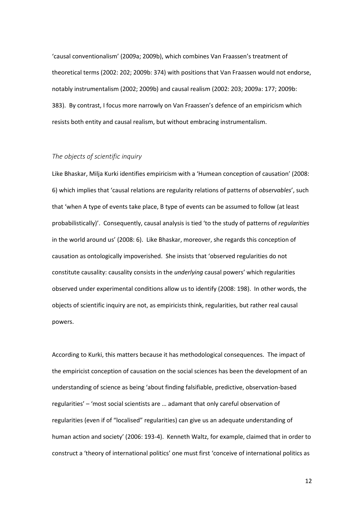'causal conventionalism' (2009a; 2009b), which combines Van Fraassen's treatment of theoretical terms (2002: 202; 2009b: 374) with positions that Van Fraassen would not endorse, notably instrumentalism (2002; 2009b) and causal realism (2002: 203; 2009a: 177; 2009b: 383). By contrast, I focus more narrowly on Van Fraassen's defence of an empiricism which resists both entity and causal realism, but without embracing instrumentalism.

#### *The objects of scientific inquiry*

Like Bhaskar, Milja Kurki identifies empiricism with a 'Humean conception of causation' (2008: 6) which implies that 'causal relations are regularity relations of patterns of *observables*', such that 'when A type of events take place, B type of events can be assumed to follow (at least probabilistically)'. Consequently, causal analysis is tied 'to the study of patterns of *regularities* in the world around us' (2008: 6). Like Bhaskar, moreover, she regards this conception of causation as ontologically impoverished. She insists that 'observed regularities do not constitute causality: causality consists in the *underlying* causal powers' which regularities observed under experimental conditions allow us to identify (2008: 198). In other words, the objects of scientific inquiry are not, as empiricists think, regularities, but rather real causal powers.

According to Kurki, this matters because it has methodological consequences. The impact of the empiricist conception of causation on the social sciences has been the development of an understanding of science as being 'about finding falsifiable, predictive, observation-based regularities' – 'most social scientists are … adamant that only careful observation of regularities (even if of "localised" regularities) can give us an adequate understanding of human action and society' (2006: 193-4). Kenneth Waltz, for example, claimed that in order to construct a 'theory of international politics' one must first 'conceive of international politics as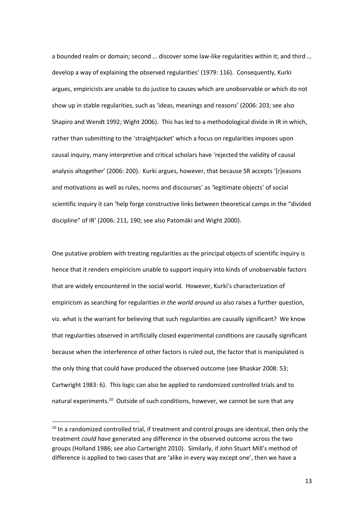a bounded realm or domain; second … discover some law-like regularities within it; and third … develop a way of explaining the observed regularities' (1979: 116). Consequently, Kurki argues, empiricists are unable to do justice to causes which are unobservable or which do not show up in stable regularities, such as 'ideas, meanings and reasons' (2006: 203; see also Shapiro and Wendt 1992; Wight 2006). This has led to a methodological divide in IR in which, rather than submitting to the 'straightjacket' which a focus on regularities imposes upon causal inquiry, many interpretive and critical scholars have 'rejected the validity of causal analysis altogether' (2006: 200). Kurki argues, however, that because SR accepts '[r]easons and motivations as well as rules, norms and discourses' as 'legitimate objects' of social scientific inquiry it can 'help forge constructive links between theoretical camps in the "divided discipline" of IR' (2006: 211, 190; see also Patomäki and Wight 2000).

One putative problem with treating regularities as the principal objects of scientific inquiry is hence that it renders empiricism unable to support inquiry into kinds of unobservable factors that are widely encountered in the social world. However, Kurki's characterization of empiricism as searching for regularities *in the world around us* also raises a further question, viz. what is the warrant for believing that such regularities are causally significant? We know that regularities observed in artificially closed experimental conditions are causally significant because when the interference of other factors is ruled out, the factor that is manipulated is the only thing that could have produced the observed outcome (see Bhaskar 2008: 53; Cartwright 1983: 6). This logic can also be applied to randomized controlled trials and to natural experiments.<sup>10</sup> Outside of such conditions, however, we cannot be sure that any

**.** 

 $10$  In a randomized controlled trial, if treatment and control groups are identical, then only the treatment *could have* generated any difference in the observed outcome across the two groups (Holland 1986; see also Cartwright 2010). Similarly, if John Stuart Mill's method of difference is applied to two cases that are 'alike in every way except one', then we have a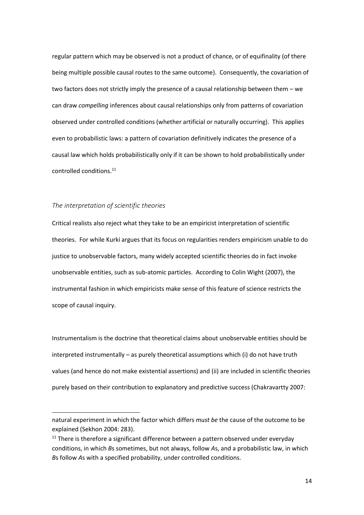regular pattern which may be observed is not a product of chance, or of equifinality (of there being multiple possible causal routes to the same outcome). Consequently, the covariation of two factors does not strictly imply the presence of a causal relationship between them – we can draw *compelling* inferences about causal relationships only from patterns of covariation observed under controlled conditions (whether artificial or naturally occurring). This applies even to probabilistic laws: a pattern of covariation definitively indicates the presence of a causal law which holds probabilistically only if it can be shown to hold probabilistically under controlled conditions. 11

#### *The interpretation of scientific theories*

**.** 

Critical realists also reject what they take to be an empiricist interpretation of scientific theories. For while Kurki argues that its focus on regularities renders empiricism unable to do justice to unobservable factors, many widely accepted scientific theories do in fact invoke unobservable entities, such as sub-atomic particles. According to Colin Wight (2007), the instrumental fashion in which empiricists make sense of this feature of science restricts the scope of causal inquiry.

Instrumentalism is the doctrine that theoretical claims about unobservable entities should be interpreted instrumentally – as purely theoretical assumptions which (i) do not have truth values (and hence do not make existential assertions) and (ii) are included in scientific theories purely based on their contribution to explanatory and predictive success (Chakravartty 2007:

natural experiment in which the factor which differs *must be* the cause of the outcome to be explained (Sekhon 2004: 283).

 $11$  There is therefore a significant difference between a pattern observed under everyday conditions, in which *B*s sometimes, but not always, follow *A*s, and a probabilistic law, in which *B*s follow *A*s with a specified probability, under controlled conditions.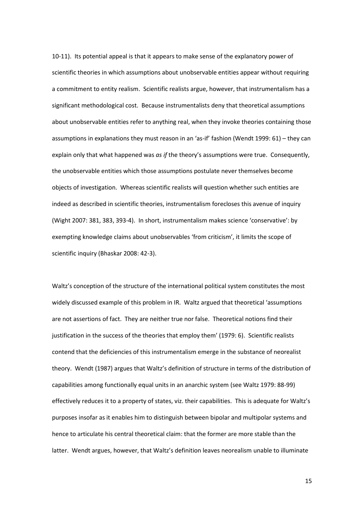10-11). Its potential appeal is that it appears to make sense of the explanatory power of scientific theories in which assumptions about unobservable entities appear without requiring a commitment to entity realism. Scientific realists argue, however, that instrumentalism has a significant methodological cost. Because instrumentalists deny that theoretical assumptions about unobservable entities refer to anything real, when they invoke theories containing those assumptions in explanations they must reason in an 'as-if' fashion (Wendt 1999: 61) – they can explain only that what happened was *as if* the theory's assumptions were true. Consequently, the unobservable entities which those assumptions postulate never themselves become objects of investigation. Whereas scientific realists will question whether such entities are indeed as described in scientific theories, instrumentalism forecloses this avenue of inquiry (Wight 2007: 381, 383, 393-4). In short, instrumentalism makes science 'conservative': by exempting knowledge claims about unobservables 'from criticism', it limits the scope of scientific inquiry (Bhaskar 2008: 42-3).

Waltz's conception of the structure of the international political system constitutes the most widely discussed example of this problem in IR. Waltz argued that theoretical 'assumptions are not assertions of fact. They are neither true nor false. Theoretical notions find their justification in the success of the theories that employ them' (1979: 6). Scientific realists contend that the deficiencies of this instrumentalism emerge in the substance of neorealist theory. Wendt (1987) argues that Waltz's definition of structure in terms of the distribution of capabilities among functionally equal units in an anarchic system (see Waltz 1979: 88-99) effectively reduces it to a property of states, viz. their capabilities. This is adequate for Waltz's purposes insofar as it enables him to distinguish between bipolar and multipolar systems and hence to articulate his central theoretical claim: that the former are more stable than the latter. Wendt argues, however, that Waltz's definition leaves neorealism unable to illuminate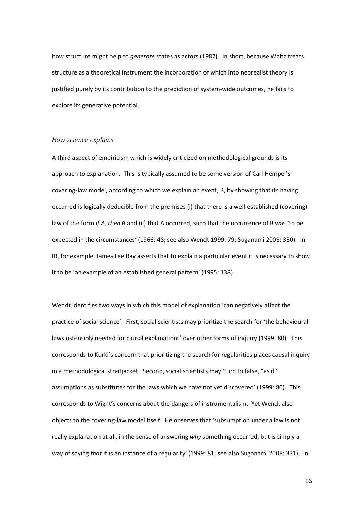how structure might help to *generate* states as actors (1987). In short, because Waltz treats structure as a theoretical instrument the incorporation of which into neorealist theory is justified purely by its contribution to the prediction of system-wide outcomes, he fails to explore its generative potential.

#### *How science explains*

A third aspect of empiricism which is widely criticized on methodological grounds is its approach to explanation. This is typically assumed to be some version of Carl Hempel's covering-law model, according to which we explain an event, B, by showing that its having occurred is logically deducible from the premises (i) that there is a well-established (covering) law of the form *if A, then B* and (ii) that A occurred, such that the occurrence of B was 'to be expected in the circumstances' (1966: 48; see also Wendt 1999: 79; Suganami 2008: 330). In IR, for example, James Lee Ray asserts that to explain a particular event it is necessary to show it to be 'an example of an established general pattern' (1995: 138).

Wendt identifies two ways in which this model of explanation 'can negatively affect the practice of social science'. First, social scientists may prioritize the search for 'the behavioural laws ostensibly needed for causal explanations' over other forms of inquiry (1999: 80). This corresponds to Kurki's concern that prioritizing the search for regularities places causal inquiry in a methodological straitjacket. Second, social scientists may 'turn to false, "as if" assumptions as substitutes for the laws which we have not yet discovered' (1999: 80). This corresponds to Wight's concerns about the dangers of instrumentalism. Yet Wendt also objects to the covering-law model itself. He observes that 'subsumption under a law is not really explanation at all, in the sense of answering *why* something occurred, but is simply a way of saying *that* it is an instance of a regularity' (1999: 81; see also Suganami 2008: 331). In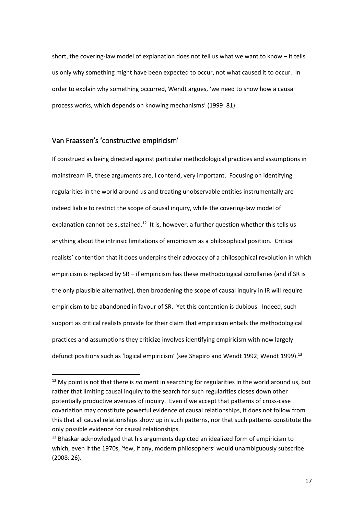short, the covering-law model of explanation does not tell us what we want to know – it tells us only why something might have been expected to occur, not what caused it to occur. In order to explain why something occurred, Wendt argues, 'we need to show how a causal process works, which depends on knowing mechanisms' (1999: 81).

## Van Fraassen's 'constructive empiricism'

**.** 

If construed as being directed against particular methodological practices and assumptions in mainstream IR, these arguments are, I contend, very important. Focusing on identifying regularities in the world around us and treating unobservable entities instrumentally are indeed liable to restrict the scope of causal inquiry, while the covering-law model of explanation cannot be sustained.<sup>12</sup> It is, however, a further question whether this tells us anything about the intrinsic limitations of empiricism as a philosophical position. Critical realists' contention that it does underpins their advocacy of a philosophical revolution in which empiricism is replaced by SR – if empiricism has these methodological corollaries (and if SR is the only plausible alternative), then broadening the scope of causal inquiry in IR will require empiricism to be abandoned in favour of SR. Yet this contention is dubious. Indeed, such support as critical realists provide for their claim that empiricism entails the methodological practices and assumptions they criticize involves identifying empiricism with now largely defunct positions such as 'logical empiricism' (see Shapiro and Wendt 1992; Wendt 1999).<sup>13</sup>

<sup>12</sup> My point is not that there is *no* merit in searching for regularities in the world around us, but rather that limiting causal inquiry to the search for such regularities closes down other potentially productive avenues of inquiry. Even if we accept that patterns of cross-case covariation may constitute powerful evidence of causal relationships, it does not follow from this that all causal relationships show up in such patterns, nor that such patterns constitute the only possible evidence for causal relationships.

<sup>&</sup>lt;sup>13</sup> Bhaskar acknowledged that his arguments depicted an idealized form of empiricism to which, even if the 1970s, 'few, if any, modern philosophers' would unambiguously subscribe (2008: 26).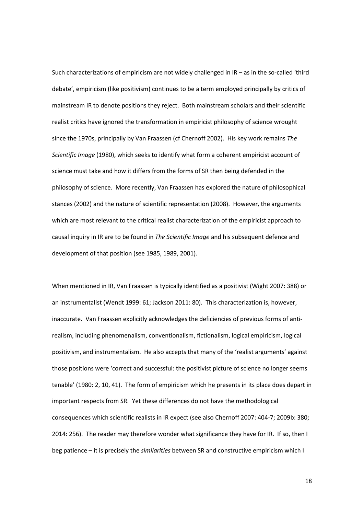Such characterizations of empiricism are not widely challenged in IR – as in the so-called 'third debate', empiricism (like positivism) continues to be a term employed principally by critics of mainstream IR to denote positions they reject. Both mainstream scholars and their scientific realist critics have ignored the transformation in empiricist philosophy of science wrought since the 1970s, principally by Van Fraassen (cf Chernoff 2002). His key work remains *The Scientific Image* (1980), which seeks to identify what form a coherent empiricist account of science must take and how it differs from the forms of SR then being defended in the philosophy of science. More recently, Van Fraassen has explored the nature of philosophical stances (2002) and the nature of scientific representation (2008). However, the arguments which are most relevant to the critical realist characterization of the empiricist approach to causal inquiry in IR are to be found in *The Scientific Image* and his subsequent defence and development of that position (see 1985, 1989, 2001).

When mentioned in IR, Van Fraassen is typically identified as a positivist (Wight 2007: 388) or an instrumentalist (Wendt 1999: 61; Jackson 2011: 80). This characterization is, however, inaccurate. Van Fraassen explicitly acknowledges the deficiencies of previous forms of antirealism, including phenomenalism, conventionalism, fictionalism, logical empiricism, logical positivism, and instrumentalism. He also accepts that many of the 'realist arguments' against those positions were 'correct and successful: the positivist picture of science no longer seems tenable' (1980: 2, 10, 41). The form of empiricism which he presents in its place does depart in important respects from SR. Yet these differences do not have the methodological consequences which scientific realists in IR expect (see also Chernoff 2007: 404-7; 2009b: 380; 2014: 256). The reader may therefore wonder what significance they have for IR. If so, then I beg patience – it is precisely the *similarities* between SR and constructive empiricism which I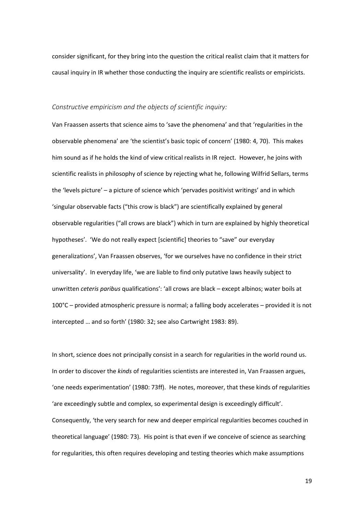consider significant, for they bring into the question the critical realist claim that it matters for causal inquiry in IR whether those conducting the inquiry are scientific realists or empiricists.

#### *Constructive empiricism and the objects of scientific inquiry:*

Van Fraassen asserts that science aims to 'save the phenomena' and that 'regularities in the observable phenomena' are 'the scientist's basic topic of concern' (1980: 4, 70). This makes him sound as if he holds the kind of view critical realists in IR reject. However, he joins with scientific realists in philosophy of science by rejecting what he, following Wilfrid Sellars, terms the 'levels picture' – a picture of science which 'pervades positivist writings' and in which 'singular observable facts ("this crow is black") are scientifically explained by general observable regularities ("all crows are black") which in turn are explained by highly theoretical hypotheses'. 'We do not really expect [scientific] theories to "save" our everyday generalizations', Van Fraassen observes, 'for we ourselves have no confidence in their strict universality'. In everyday life, 'we are liable to find only putative laws heavily subject to unwritten *ceteris paribus* qualifications': 'all crows are black – except albinos; water boils at 100°C – provided atmospheric pressure is normal; a falling body accelerates – provided it is not intercepted … and so forth' (1980: 32; see also Cartwright 1983: 89).

In short, science does not principally consist in a search for regularities in the world round us. In order to discover the *kinds* of regularities scientists are interested in, Van Fraassen argues, 'one needs experimentation' (1980: 73ff). He notes, moreover, that these kinds of regularities 'are exceedingly subtle and complex, so experimental design is exceedingly difficult'. Consequently, 'the very search for new and deeper empirical regularities becomes couched in theoretical language' (1980: 73). His point is that even if we conceive of science as searching for regularities, this often requires developing and testing theories which make assumptions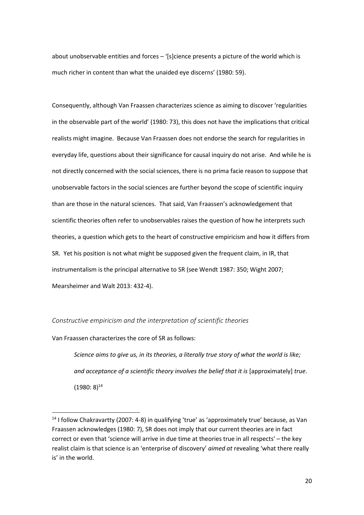about unobservable entities and forces – '[s]cience presents a picture of the world which is much richer in content than what the unaided eye discerns' (1980: 59).

Consequently, although Van Fraassen characterizes science as aiming to discover 'regularities in the observable part of the world' (1980: 73), this does not have the implications that critical realists might imagine. Because Van Fraassen does not endorse the search for regularities in everyday life, questions about their significance for causal inquiry do not arise. And while he is not directly concerned with the social sciences, there is no prima facie reason to suppose that unobservable factors in the social sciences are further beyond the scope of scientific inquiry than are those in the natural sciences. That said, Van Fraassen's acknowledgement that scientific theories often refer to unobservables raises the question of how he interprets such theories, a question which gets to the heart of constructive empiricism and how it differs from SR. Yet his position is not what might be supposed given the frequent claim, in IR, that instrumentalism is the principal alternative to SR (see Wendt 1987: 350; Wight 2007; Mearsheimer and Walt 2013: 432-4).

*Constructive empiricism and the interpretation of scientific theories*

Van Fraassen characterizes the core of SR as follows:

**.** 

*Science aims to give us, in its theories, a literally true story of what the world is like; and acceptance of a scientific theory involves the belief that it is [approximately] true.*  $(1980: 8)^{14}$ 

<sup>&</sup>lt;sup>14</sup> I follow Chakravartty (2007: 4-8) in qualifying 'true' as 'approximately true' because, as Van Fraassen acknowledges (1980: 7), SR does not imply that our current theories are in fact correct or even that 'science will arrive in due time at theories true in all respects' – the key realist claim is that science is an 'enterprise of discovery' *aimed at* revealing 'what there really is' in the world.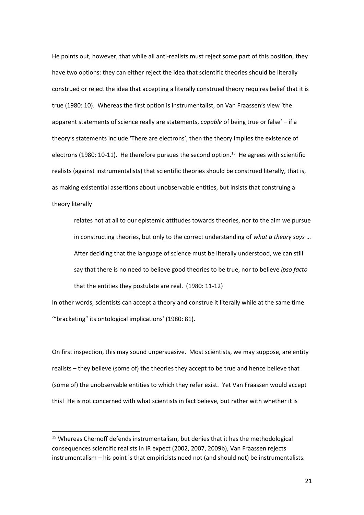He points out, however, that while all anti-realists must reject some part of this position, they have two options: they can either reject the idea that scientific theories should be literally construed or reject the idea that accepting a literally construed theory requires belief that it is true (1980: 10). Whereas the first option is instrumentalist, on Van Fraassen's view 'the apparent statements of science really are statements, *capable* of being true or false' – if a theory's statements include 'There are electrons', then the theory implies the existence of electrons (1980: 10-11). He therefore pursues the second option.<sup>15</sup> He agrees with scientific realists (against instrumentalists) that scientific theories should be construed literally, that is, as making existential assertions about unobservable entities, but insists that construing a theory literally

relates not at all to our epistemic attitudes towards theories, nor to the aim we pursue in constructing theories, but only to the correct understanding of *what a theory says* … After deciding that the language of science must be literally understood, we can still say that there is no need to believe good theories to be true, nor to believe *ipso facto* that the entities they postulate are real. (1980: 11-12)

In other words, scientists can accept a theory and construe it literally while at the same time '"bracketing" its ontological implications' (1980: 81).

On first inspection, this may sound unpersuasive. Most scientists, we may suppose, are entity realists – they believe (some of) the theories they accept to be true and hence believe that (some of) the unobservable entities to which they refer exist. Yet Van Fraassen would accept this! He is not concerned with what scientists in fact believe, but rather with whether it is

**.** 

<sup>&</sup>lt;sup>15</sup> Whereas Chernoff defends instrumentalism, but denies that it has the methodological consequences scientific realists in IR expect (2002, 2007, 2009b), Van Fraassen rejects instrumentalism – his point is that empiricists need not (and should not) be instrumentalists.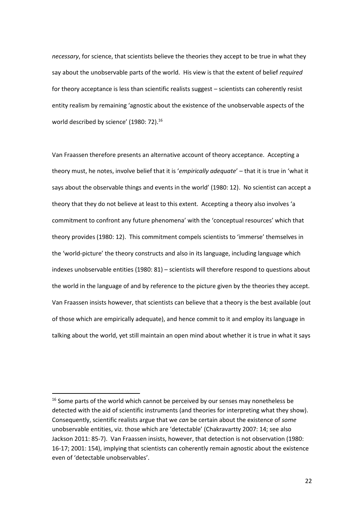*necessary*, for science, that scientists believe the theories they accept to be true in what they say about the unobservable parts of the world. His view is that the extent of belief *required* for theory acceptance is less than scientific realists suggest – scientists can coherently resist entity realism by remaining 'agnostic about the existence of the unobservable aspects of the world described by science' (1980: 72).<sup>16</sup>

Van Fraassen therefore presents an alternative account of theory acceptance. Accepting a theory must, he notes, involve belief that it is '*empirically adequate*' – that it is true in 'what it says about the observable things and events in the world' (1980: 12). No scientist can accept a theory that they do not believe at least to this extent. Accepting a theory also involves 'a commitment to confront any future phenomena' with the 'conceptual resources' which that theory provides (1980: 12). This commitment compels scientists to 'immerse' themselves in the 'world-picture' the theory constructs and also in its language, including language which indexes unobservable entities (1980: 81) – scientists will therefore respond to questions about the world in the language of and by reference to the picture given by the theories they accept. Van Fraassen insists however, that scientists can believe that a theory is the best available (out of those which are empirically adequate), and hence commit to it and employ its language in talking about the world, yet still maintain an open mind about whether it is true in what it says

**.** 

<sup>&</sup>lt;sup>16</sup> Some parts of the world which cannot be perceived by our senses may nonetheless be detected with the aid of scientific instruments (and theories for interpreting what they show). Consequently, scientific realists argue that we *can* be certain about the existence of *some* unobservable entities, viz. those which are 'detectable' (Chakravartty 2007: 14; see also Jackson 2011: 85-7). Van Fraassen insists, however, that detection is not observation (1980: 16-17; 2001: 154), implying that scientists can coherently remain agnostic about the existence even of 'detectable unobservables'.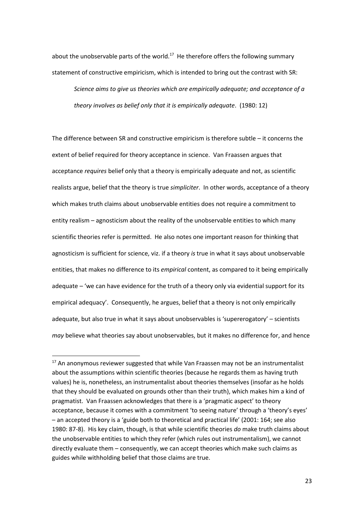about the unobservable parts of the world. $^{17}$  He therefore offers the following summary statement of constructive empiricism, which is intended to bring out the contrast with SR:

*Science aims to give us theories which are empirically adequate; and acceptance of a theory involves as belief only that it is empirically adequate*. (1980: 12)

The difference between SR and constructive empiricism is therefore subtle – it concerns the extent of belief required for theory acceptance in science. Van Fraassen argues that acceptance *requires* belief only that a theory is empirically adequate and not, as scientific realists argue, belief that the theory is true *simpliciter*. In other words, acceptance of a theory which makes truth claims about unobservable entities does not require a commitment to entity realism – agnosticism about the reality of the unobservable entities to which many scientific theories refer is permitted. He also notes one important reason for thinking that agnosticism is sufficient for science, viz. if a theory *is* true in what it says about unobservable entities, that makes no difference to its *empirical* content, as compared to it being empirically adequate – 'we can have evidence for the truth of a theory only via evidential support for its empirical adequacy'. Consequently, he argues, belief that a theory is not only empirically adequate, but also true in what it says about unobservables is 'supererogatory' – scientists *may* believe what theories say about unobservables, but it makes no difference for, and hence

 $\overline{a}$ 

 $17$  An anonymous reviewer suggested that while Van Fraassen may not be an instrumentalist about the assumptions within scientific theories (because he regards them as having truth values) he is, nonetheless, an instrumentalist about theories themselves (insofar as he holds that they should be evaluated on grounds other than their truth), which makes him a kind of pragmatist. Van Fraassen acknowledges that there is a 'pragmatic aspect' to theory acceptance, because it comes with a commitment 'to seeing nature' through a 'theory's eyes' – an accepted theory is a 'guide both to theoretical and practical life' (2001: 164; see also 1980: 87-8). His key claim, though, is that while scientific theories *do* make truth claims about the unobservable entities to which they refer (which rules out instrumentalism), we cannot directly evaluate them – consequently, we can accept theories which make such claims as guides while withholding belief that those claims are true.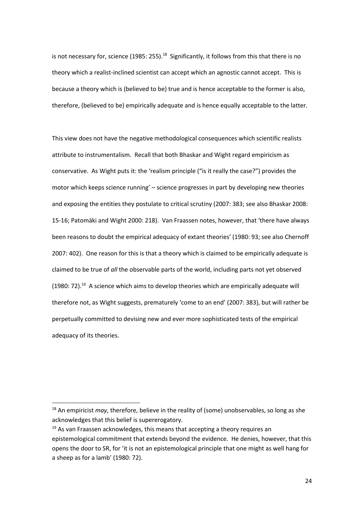is not necessary for, science (1985: 255).<sup>18</sup> Significantly, it follows from this that there is no theory which a realist-inclined scientist can accept which an agnostic cannot accept. This is because a theory which is (believed to be) true and is hence acceptable to the former is also, therefore, (believed to be) empirically adequate and is hence equally acceptable to the latter.

This view does not have the negative methodological consequences which scientific realists attribute to instrumentalism. Recall that both Bhaskar and Wight regard empiricism as conservative. As Wight puts it: the 'realism principle ("is it really the case?") provides the motor which keeps science running' – science progresses in part by developing new theories and exposing the entities they postulate to critical scrutiny (2007: 383; see also Bhaskar 2008: 15-16; Patomäki and Wight 2000: 218). Van Fraassen notes, however, that 'there have always been reasons to doubt the empirical adequacy of extant theories' (1980: 93; see also Chernoff 2007: 402). One reason for this is that a theory which is claimed to be empirically adequate is claimed to be true of *all* the observable parts of the world, including parts not yet observed  $(1980: 72).$ <sup>19</sup> A science which aims to develop theories which are empirically adequate will therefore not, as Wight suggests, prematurely 'come to an end' (2007: 383), but will rather be perpetually committed to devising new and ever more sophisticated tests of the empirical adequacy of its theories.

<sup>18</sup> An empiricist *may*, therefore, believe in the reality of (some) unobservables, so long as she acknowledges that this belief is supererogatory.

 $19$  As van Fraassen acknowledges, this means that accepting a theory requires an epistemological commitment that extends beyond the evidence. He denies, however, that this opens the door to SR, for 'it is not an epistemological principle that one might as well hang for a sheep as for a lamb' (1980: 72).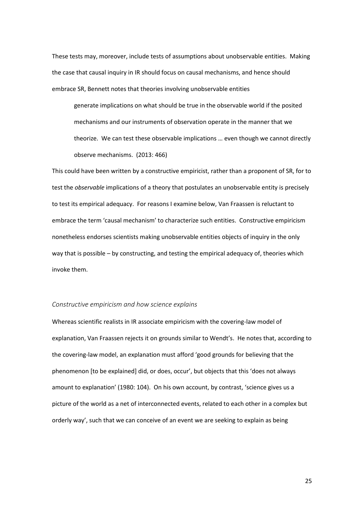These tests may, moreover, include tests of assumptions about unobservable entities. Making the case that causal inquiry in IR should focus on causal mechanisms, and hence should embrace SR, Bennett notes that theories involving unobservable entities

generate implications on what should be true in the observable world if the posited mechanisms and our instruments of observation operate in the manner that we theorize. We can test these observable implications … even though we cannot directly observe mechanisms. (2013: 466)

This could have been written by a constructive empiricist, rather than a proponent of SR, for to test the *observable* implications of a theory that postulates an unobservable entity is precisely to test its empirical adequacy. For reasons I examine below, Van Fraassen is reluctant to embrace the term 'causal mechanism' to characterize such entities. Constructive empiricism nonetheless endorses scientists making unobservable entities objects of inquiry in the only way that is possible – by constructing, and testing the empirical adequacy of, theories which invoke them.

#### *Constructive empiricism and how science explains*

Whereas scientific realists in IR associate empiricism with the covering-law model of explanation, Van Fraassen rejects it on grounds similar to Wendt's. He notes that, according to the covering-law model, an explanation must afford 'good grounds for believing that the phenomenon [to be explained] did, or does, occur', but objects that this 'does not always amount to explanation' (1980: 104). On his own account, by contrast, 'science gives us a picture of the world as a net of interconnected events, related to each other in a complex but orderly way', such that we can conceive of an event we are seeking to explain as being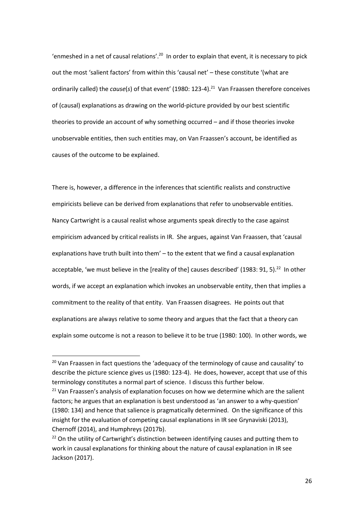'enmeshed in a net of causal relations'.<sup>20</sup> In order to explain that event, it is necessary to pick out the most 'salient factors' from within this 'causal net' – these constitute '(what are ordinarily called) the *cause*(s) of that event' (1980: 123-4).<sup>21</sup> Van Fraassen therefore conceives of (causal) explanations as drawing on the world-picture provided by our best scientific theories to provide an account of why something occurred – and if those theories invoke unobservable entities, then such entities may, on Van Fraassen's account, be identified as causes of the outcome to be explained.

There is, however, a difference in the inferences that scientific realists and constructive empiricists believe can be derived from explanations that refer to unobservable entities. Nancy Cartwright is a causal realist whose arguments speak directly to the case against empiricism advanced by critical realists in IR. She argues, against Van Fraassen, that 'causal explanations have truth built into them' – to the extent that we find a causal explanation acceptable, 'we must believe in the [reality of the] causes described' (1983: 91, 5).<sup>22</sup> In other words, if we accept an explanation which invokes an unobservable entity, then that implies a commitment to the reality of that entity. Van Fraassen disagrees. He points out that explanations are always relative to some theory and argues that the fact that a theory can explain some outcome is not a reason to believe it to be true (1980: 100). In other words, we

 $\overline{\phantom{a}}$ 

 $20$  Van Fraassen in fact questions the 'adequacy of the terminology of cause and causality' to describe the picture science gives us (1980: 123-4). He does, however, accept that use of this terminology constitutes a normal part of science. I discuss this further below.

 $21$  Van Fraassen's analysis of explanation focuses on how we determine which are the salient factors; he argues that an explanation is best understood as 'an answer to a why-question' (1980: 134) and hence that salience is pragmatically determined. On the significance of this insight for the evaluation of competing causal explanations in IR see Grynaviski (2013), Chernoff (2014), and Humphreys (2017b).

<sup>&</sup>lt;sup>22</sup> On the utility of Cartwright's distinction between identifying causes and putting them to work in causal explanations for thinking about the nature of causal explanation in IR see Jackson (2017).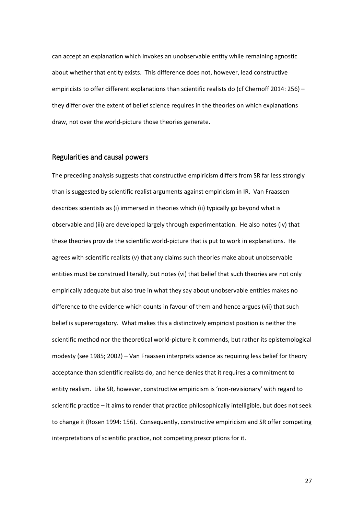can accept an explanation which invokes an unobservable entity while remaining agnostic about whether that entity exists. This difference does not, however, lead constructive empiricists to offer different explanations than scientific realists do (cf Chernoff 2014: 256) – they differ over the extent of belief science requires in the theories on which explanations draw, not over the world-picture those theories generate.

### Regularities and causal powers

The preceding analysis suggests that constructive empiricism differs from SR far less strongly than is suggested by scientific realist arguments against empiricism in IR. Van Fraassen describes scientists as (i) immersed in theories which (ii) typically go beyond what is observable and (iii) are developed largely through experimentation. He also notes (iv) that these theories provide the scientific world-picture that is put to work in explanations. He agrees with scientific realists (v) that any claims such theories make about unobservable entities must be construed literally, but notes (vi) that belief that such theories are not only empirically adequate but also true in what they say about unobservable entities makes no difference to the evidence which counts in favour of them and hence argues (vii) that such belief is supererogatory. What makes this a distinctively empiricist position is neither the scientific method nor the theoretical world-picture it commends, but rather its epistemological modesty (see 1985; 2002) – Van Fraassen interprets science as requiring less belief for theory acceptance than scientific realists do, and hence denies that it requires a commitment to entity realism. Like SR, however, constructive empiricism is 'non-revisionary' with regard to scientific practice – it aims to render that practice philosophically intelligible, but does not seek to change it (Rosen 1994: 156). Consequently, constructive empiricism and SR offer competing interpretations of scientific practice, not competing prescriptions for it.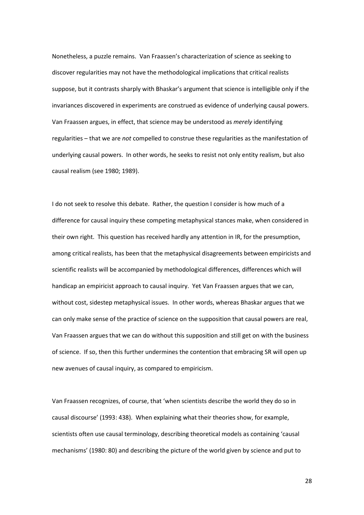Nonetheless, a puzzle remains. Van Fraassen's characterization of science as seeking to discover regularities may not have the methodological implications that critical realists suppose, but it contrasts sharply with Bhaskar's argument that science is intelligible only if the invariances discovered in experiments are construed as evidence of underlying causal powers. Van Fraassen argues, in effect, that science may be understood as *merely* identifying regularities – that we are *not* compelled to construe these regularities as the manifestation of underlying causal powers. In other words, he seeks to resist not only entity realism, but also causal realism (see 1980; 1989).

I do not seek to resolve this debate. Rather, the question I consider is how much of a difference for causal inquiry these competing metaphysical stances make, when considered in their own right. This question has received hardly any attention in IR, for the presumption, among critical realists, has been that the metaphysical disagreements between empiricists and scientific realists will be accompanied by methodological differences, differences which will handicap an empiricist approach to causal inquiry. Yet Van Fraassen argues that we can, without cost, sidestep metaphysical issues. In other words, whereas Bhaskar argues that we can only make sense of the practice of science on the supposition that causal powers are real, Van Fraassen argues that we can do without this supposition and still get on with the business of science. If so, then this further undermines the contention that embracing SR will open up new avenues of causal inquiry, as compared to empiricism.

Van Fraassen recognizes, of course, that 'when scientists describe the world they do so in causal discourse' (1993: 438). When explaining what their theories show, for example, scientists often use causal terminology, describing theoretical models as containing 'causal mechanisms' (1980: 80) and describing the picture of the world given by science and put to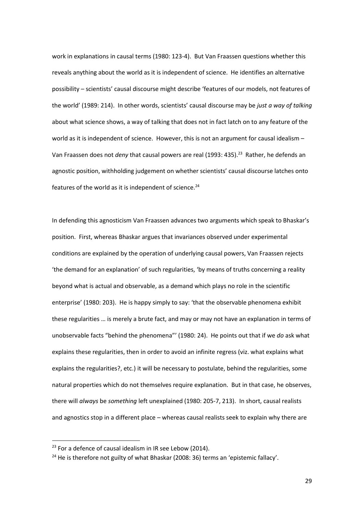work in explanations in causal terms (1980: 123-4). But Van Fraassen questions whether this reveals anything about the world as it is independent of science. He identifies an alternative possibility – scientists' causal discourse might describe 'features of our models, not features of the world' (1989: 214). In other words, scientists' causal discourse may be *just a way of talking* about what science shows, a way of talking that does not in fact latch on to any feature of the world as it is independent of science. However, this is not an argument for causal idealism – Van Fraassen does not *deny* that causal powers are real (1993: 435).<sup>23</sup> Rather, he defends an agnostic position, withholding judgement on whether scientists' causal discourse latches onto features of the world as it is independent of science. $24$ 

In defending this agnosticism Van Fraassen advances two arguments which speak to Bhaskar's position. First, whereas Bhaskar argues that invariances observed under experimental conditions are explained by the operation of underlying causal powers, Van Fraassen rejects 'the demand for an explanation' of such regularities, 'by means of truths concerning a reality beyond what is actual and observable, as a demand which plays no role in the scientific enterprise' (1980: 203). He is happy simply to say: 'that the observable phenomena exhibit these regularities … is merely a brute fact, and may or may not have an explanation in terms of unobservable facts "behind the phenomena"' (1980: 24). He points out that if we *do* ask what explains these regularities, then in order to avoid an infinite regress (viz. what explains what explains the regularities?, etc.) it will be necessary to postulate, behind the regularities, some natural properties which do not themselves require explanation. But in that case, he observes, there will *always* be *something* left unexplained (1980: 205-7, 213). In short, causal realists and agnostics stop in a different place – whereas causal realists seek to explain why there are

 $23$  For a defence of causal idealism in IR see Lebow (2014).

 $24$  He is therefore not guilty of what Bhaskar (2008: 36) terms an 'epistemic fallacy'.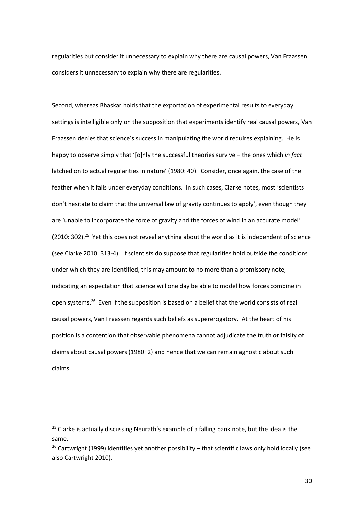regularities but consider it unnecessary to explain why there are causal powers, Van Fraassen considers it unnecessary to explain why there are regularities.

Second, whereas Bhaskar holds that the exportation of experimental results to everyday settings is intelligible only on the supposition that experiments identify real causal powers, Van Fraassen denies that science's success in manipulating the world requires explaining. He is happy to observe simply that '[o]nly the successful theories survive – the ones which *in fact* latched on to actual regularities in nature' (1980: 40). Consider, once again, the case of the feather when it falls under everyday conditions. In such cases, Clarke notes, most 'scientists don't hesitate to claim that the universal law of gravity continues to apply', even though they are 'unable to incorporate the force of gravity and the forces of wind in an accurate model' (2010: 302).<sup>25</sup> Yet this does not reveal anything about the world as it is independent of science (see Clarke 2010: 313-4). If scientists do suppose that regularities hold outside the conditions under which they are identified, this may amount to no more than a promissory note, indicating an expectation that science will one day be able to model how forces combine in open systems.<sup>26</sup> Even if the supposition is based on a belief that the world consists of real causal powers, Van Fraassen regards such beliefs as supererogatory. At the heart of his position is a contention that observable phenomena cannot adjudicate the truth or falsity of claims about causal powers (1980: 2) and hence that we can remain agnostic about such claims.

**.** 

 $25$  Clarke is actually discussing Neurath's example of a falling bank note, but the idea is the same.

<sup>&</sup>lt;sup>26</sup> Cartwright (1999) identifies yet another possibility – that scientific laws only hold locally (see also Cartwright 2010).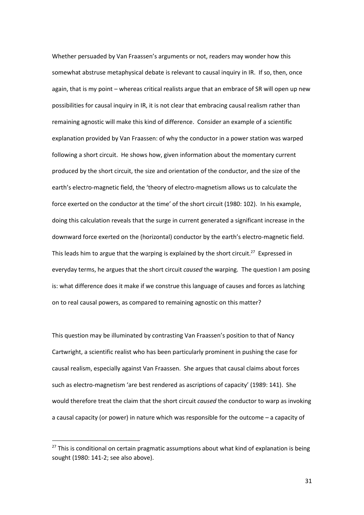Whether persuaded by Van Fraassen's arguments or not, readers may wonder how this somewhat abstruse metaphysical debate is relevant to causal inquiry in IR. If so, then, once again, that is my point – whereas critical realists argue that an embrace of SR will open up new possibilities for causal inquiry in IR, it is not clear that embracing causal realism rather than remaining agnostic will make this kind of difference. Consider an example of a scientific explanation provided by Van Fraassen: of why the conductor in a power station was warped following a short circuit. He shows how, given information about the momentary current produced by the short circuit, the size and orientation of the conductor, and the size of the earth's electro-magnetic field, the 'theory of electro-magnetism allows us to calculate the force exerted on the conductor at the time' of the short circuit (1980: 102). In his example, doing this calculation reveals that the surge in current generated a significant increase in the downward force exerted on the (horizontal) conductor by the earth's electro-magnetic field. This leads him to argue that the warping is explained by the short circuit.<sup>27</sup> Expressed in everyday terms, he argues that the short circuit *caused* the warping. The question I am posing is: what difference does it make if we construe this language of causes and forces as latching on to real causal powers, as compared to remaining agnostic on this matter?

This question may be illuminated by contrasting Van Fraassen's position to that of Nancy Cartwright, a scientific realist who has been particularly prominent in pushing the case for causal realism, especially against Van Fraassen. She argues that causal claims about forces such as electro-magnetism 'are best rendered as ascriptions of capacity' (1989: 141). She would therefore treat the claim that the short circuit *caused* the conductor to warp as invoking a causal capacity (or power) in nature which was responsible for the outcome – a capacity of

 $27$  This is conditional on certain pragmatic assumptions about what kind of explanation is being sought (1980: 141-2; see also above).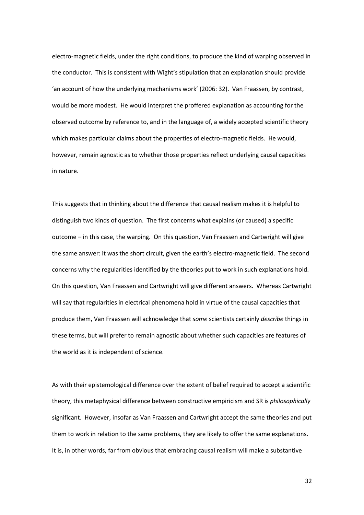electro-magnetic fields, under the right conditions, to produce the kind of warping observed in the conductor. This is consistent with Wight's stipulation that an explanation should provide 'an account of how the underlying mechanisms work' (2006: 32). Van Fraassen, by contrast, would be more modest. He would interpret the proffered explanation as accounting for the observed outcome by reference to, and in the language of, a widely accepted scientific theory which makes particular claims about the properties of electro-magnetic fields. He would, however, remain agnostic as to whether those properties reflect underlying causal capacities in nature.

This suggests that in thinking about the difference that causal realism makes it is helpful to distinguish two kinds of question. The first concerns what explains (or caused) a specific outcome – in this case, the warping. On this question, Van Fraassen and Cartwright will give the same answer: it was the short circuit, given the earth's electro-magnetic field. The second concerns why the regularities identified by the theories put to work in such explanations hold. On this question, Van Fraassen and Cartwright will give different answers. Whereas Cartwright will say that regularities in electrical phenomena hold in virtue of the causal capacities that produce them, Van Fraassen will acknowledge that *some* scientists certainly *describe* things in these terms, but will prefer to remain agnostic about whether such capacities are features of the world as it is independent of science.

As with their epistemological difference over the extent of belief required to accept a scientific theory, this metaphysical difference between constructive empiricism and SR is *philosophically*  significant. However, insofar as Van Fraassen and Cartwright accept the same theories and put them to work in relation to the same problems, they are likely to offer the same explanations. It is, in other words, far from obvious that embracing causal realism will make a substantive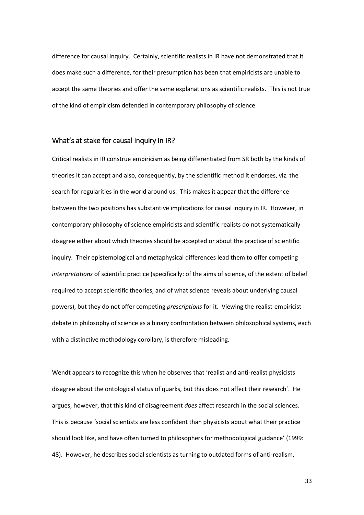difference for causal inquiry. Certainly, scientific realists in IR have not demonstrated that it does make such a difference, for their presumption has been that empiricists are unable to accept the same theories and offer the same explanations as scientific realists. This is not true of the kind of empiricism defended in contemporary philosophy of science.

# What's at stake for causal inquiry in IR?

Critical realists in IR construe empiricism as being differentiated from SR both by the kinds of theories it can accept and also, consequently, by the scientific method it endorses, viz. the search for regularities in the world around us. This makes it appear that the difference between the two positions has substantive implications for causal inquiry in IR. However, in contemporary philosophy of science empiricists and scientific realists do not systematically disagree either about which theories should be accepted or about the practice of scientific inquiry. Their epistemological and metaphysical differences lead them to offer competing *interpretations* of scientific practice (specifically: of the aims of science, of the extent of belief required to accept scientific theories, and of what science reveals about underlying causal powers), but they do not offer competing *prescriptions* for it. Viewing the realist-empiricist debate in philosophy of science as a binary confrontation between philosophical systems, each with a distinctive methodology corollary, is therefore misleading.

Wendt appears to recognize this when he observes that 'realist and anti-realist physicists disagree about the ontological status of quarks, but this does not affect their research'. He argues, however, that this kind of disagreement *does* affect research in the social sciences. This is because 'social scientists are less confident than physicists about what their practice should look like, and have often turned to philosophers for methodological guidance' (1999: 48). However, he describes social scientists as turning to outdated forms of anti-realism,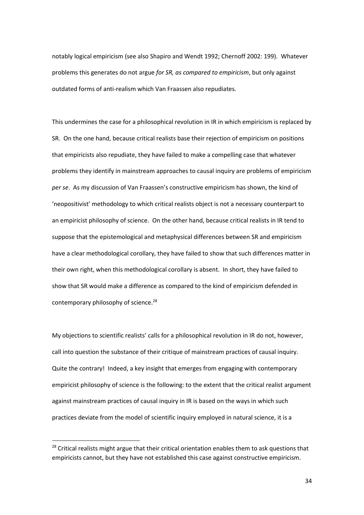notably logical empiricism (see also Shapiro and Wendt 1992; Chernoff 2002: 199). Whatever problems this generates do not argue *for SR, as compared to empiricism*, but only against outdated forms of anti-realism which Van Fraassen also repudiates.

This undermines the case for a philosophical revolution in IR in which empiricism is replaced by SR. On the one hand, because critical realists base their rejection of empiricism on positions that empiricists also repudiate, they have failed to make a compelling case that whatever problems they identify in mainstream approaches to causal inquiry are problems of empiricism *per se*. As my discussion of Van Fraassen's constructive empiricism has shown, the kind of 'neopositivist' methodology to which critical realists object is not a necessary counterpart to an empiricist philosophy of science. On the other hand, because critical realists in IR tend to suppose that the epistemological and metaphysical differences between SR and empiricism have a clear methodological corollary, they have failed to show that such differences matter in their own right, when this methodological corollary is absent. In short, they have failed to show that SR would make a difference as compared to the kind of empiricism defended in contemporary philosophy of science.<sup>28</sup>

My objections to scientific realists' calls for a philosophical revolution in IR do not, however, call into question the substance of their critique of mainstream practices of causal inquiry. Quite the contrary! Indeed, a key insight that emerges from engaging with contemporary empiricist philosophy of science is the following: to the extent that the critical realist argument against mainstream practices of causal inquiry in IR is based on the ways in which such practices deviate from the model of scientific inquiry employed in natural science, it is a

 $28$  Critical realists might argue that their critical orientation enables them to ask questions that empiricists cannot, but they have not established this case against constructive empiricism.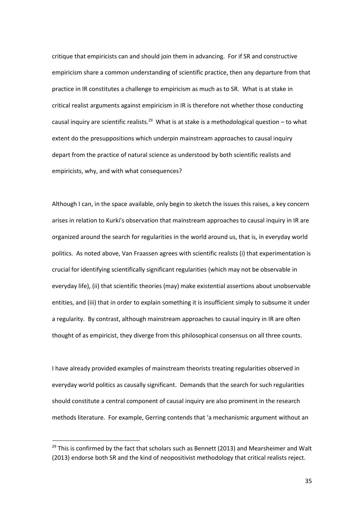critique that empiricists can and should join them in advancing. For if SR and constructive empiricism share a common understanding of scientific practice, then any departure from that practice in IR constitutes a challenge to empiricism as much as to SR. What is at stake in critical realist arguments against empiricism in IR is therefore not whether those conducting causal inquiry are scientific realists.<sup>29</sup> What is at stake is a methodological question  $-$  to what extent do the presuppositions which underpin mainstream approaches to causal inquiry depart from the practice of natural science as understood by both scientific realists and empiricists, why, and with what consequences?

Although I can, in the space available, only begin to sketch the issues this raises, a key concern arises in relation to Kurki's observation that mainstream approaches to causal inquiry in IR are organized around the search for regularities in the world around us, that is, in everyday world politics. As noted above, Van Fraassen agrees with scientific realists (i) that experimentation is crucial for identifying scientifically significant regularities (which may not be observable in everyday life), (ii) that scientific theories (may) make existential assertions about unobservable entities, and (iii) that in order to explain something it is insufficient simply to subsume it under a regularity. By contrast, although mainstream approaches to causal inquiry in IR are often thought of as empiricist, they diverge from this philosophical consensus on all three counts.

I have already provided examples of mainstream theorists treating regularities observed in everyday world politics as causally significant. Demands that the search for such regularities should constitute a central component of causal inquiry are also prominent in the research methods literature. For example, Gerring contends that 'a mechanismic argument without an

 $29$  This is confirmed by the fact that scholars such as Bennett (2013) and Mearsheimer and Walt (2013) endorse both SR and the kind of neopositivist methodology that critical realists reject.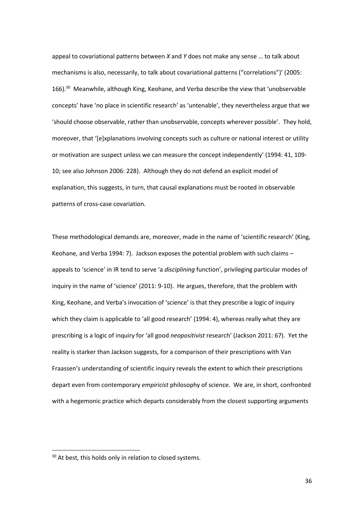appeal to covariational patterns between *X* and *Y* does not make any sense … to talk about mechanisms is also, necessarily, to talk about covariational patterns ("correlations")' (2005: 166).<sup>30</sup> Meanwhile, although King, Keohane, and Verba describe the view that 'unobservable concepts' have 'no place in scientific research' as 'untenable', they nevertheless argue that we 'should choose observable, rather than unobservable, concepts wherever possible'. They hold, moreover, that '[e]xplanations involving concepts such as culture or national interest or utility or motivation are suspect unless we can measure the concept independently' (1994: 41, 109- 10; see also Johnson 2006: 228). Although they do not defend an explicit model of explanation, this suggests, in turn, that causal explanations must be rooted in observable patterns of cross-case covariation.

These methodological demands are, moreover, made in the name of 'scientific research' (King, Keohane, and Verba 1994: 7). Jackson exposes the potential problem with such claims – appeals to 'science' in IR tend to serve 'a *disciplining* function', privileging particular modes of inquiry in the name of 'science' (2011: 9-10). He argues, therefore, that the problem with King, Keohane, and Verba's invocation of 'science' is that they prescribe a logic of inquiry which they claim is applicable to 'all good research' (1994: 4), whereas really what they are prescribing is a logic of inquiry for 'all good *neopositivist* research' (Jackson 2011: 67). Yet the reality is starker than Jackson suggests, for a comparison of their prescriptions with Van Fraassen's understanding of scientific inquiry reveals the extent to which their prescriptions depart even from contemporary *empiricist* philosophy of science. We are, in short, confronted with a hegemonic practice which departs considerably from the closest supporting arguments

 $\overline{\phantom{a}}$ 

<sup>&</sup>lt;sup>30</sup> At best, this holds only in relation to closed systems.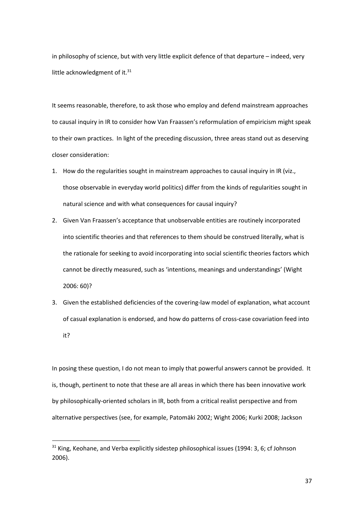in philosophy of science, but with very little explicit defence of that departure – indeed, very little acknowledgment of it. $31$ 

It seems reasonable, therefore, to ask those who employ and defend mainstream approaches to causal inquiry in IR to consider how Van Fraassen's reformulation of empiricism might speak to their own practices. In light of the preceding discussion, three areas stand out as deserving closer consideration:

- 1. How do the regularities sought in mainstream approaches to causal inquiry in IR (viz., those observable in everyday world politics) differ from the kinds of regularities sought in natural science and with what consequences for causal inquiry?
- 2. Given Van Fraassen's acceptance that unobservable entities are routinely incorporated into scientific theories and that references to them should be construed literally, what is the rationale for seeking to avoid incorporating into social scientific theories factors which cannot be directly measured, such as 'intentions, meanings and understandings' (Wight 2006: 60)?
- 3. Given the established deficiencies of the covering-law model of explanation, what account of casual explanation is endorsed, and how do patterns of cross-case covariation feed into it?

In posing these question, I do not mean to imply that powerful answers cannot be provided. It is, though, pertinent to note that these are all areas in which there has been innovative work by philosophically-oriented scholars in IR, both from a critical realist perspective and from alternative perspectives (see, for example, Patomäki 2002; Wight 2006; Kurki 2008; Jackson

 $31$  King, Keohane, and Verba explicitly sidestep philosophical issues (1994: 3, 6; cf Johnson 2006).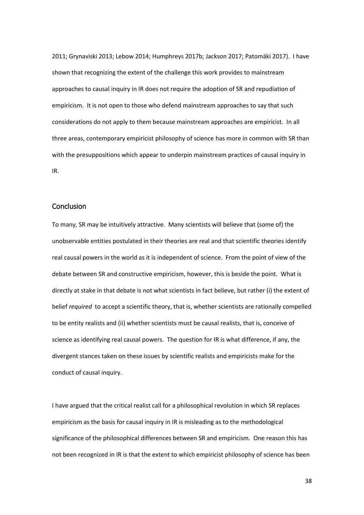2011; Grynaviski 2013; Lebow 2014; Humphreys 2017b; Jackson 2017; Patomäki 2017). I have shown that recognizing the extent of the challenge this work provides to mainstream approaches to causal inquiry in IR does not require the adoption of SR and repudiation of empiricism. It is not open to those who defend mainstream approaches to say that such considerations do not apply to them because mainstream approaches are empiricist. In all three areas, contemporary empiricist philosophy of science has more in common with SR than with the presuppositions which appear to underpin mainstream practices of causal inquiry in IR.

## **Conclusion**

To many, SR may be intuitively attractive. Many scientists will believe that (some of) the unobservable entities postulated in their theories are real and that scientific theories identify real causal powers in the world as it is independent of science. From the point of view of the debate between SR and constructive empiricism, however, this is beside the point. What is directly at stake in that debate is not what scientists in fact believe, but rather (i) the extent of belief *required* to accept a scientific theory, that is, whether scientists are rationally compelled to be entity realists and (ii) whether scientists must be causal realists, that is, conceive of science as identifying real causal powers. The question for IR is what difference, if any, the divergent stances taken on these issues by scientific realists and empiricists make for the conduct of causal inquiry.

I have argued that the critical realist call for a philosophical revolution in which SR replaces empiricism as the basis for causal inquiry in IR is misleading as to the methodological significance of the philosophical differences between SR and empiricism. One reason this has not been recognized in IR is that the extent to which empiricist philosophy of science has been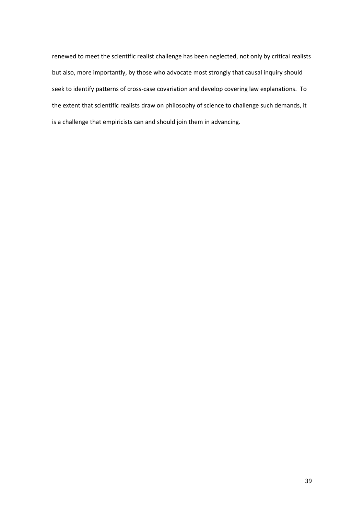renewed to meet the scientific realist challenge has been neglected, not only by critical realists but also, more importantly, by those who advocate most strongly that causal inquiry should seek to identify patterns of cross-case covariation and develop covering law explanations. To the extent that scientific realists draw on philosophy of science to challenge such demands, it is a challenge that empiricists can and should join them in advancing.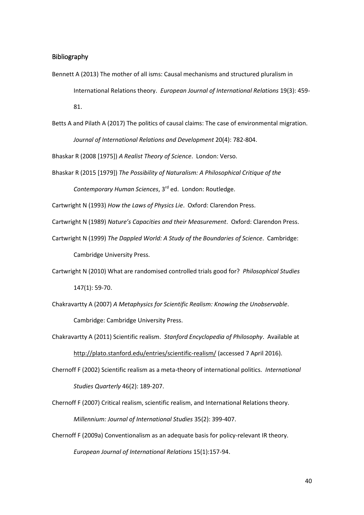#### Bibliography

- Bennett A (2013) The mother of all isms: Causal mechanisms and structured pluralism in International Relations theory. *European Journal of International Relations* 19(3): 459- 81.
- Betts A and Pilath A (2017) The politics of causal claims: The case of environmental migration. *Journal of International Relations and Development* 20(4): 782-804.

Bhaskar R (2008 [1975]) *A Realist Theory of Science*. London: Verso.

Bhaskar R (2015 [1979]) *The Possibility of Naturalism: A Philosophical Critique of the Contemporary Human Sciences*, 3rd ed. London: Routledge.

Cartwright N (1993) *How the Laws of Physics Lie*. Oxford: Clarendon Press.

Cartwright N (1989) *Nature's Capacities and their Measurement*. Oxford: Clarendon Press.

- Cartwright N (1999) *The Dappled World: A Study of the Boundaries of Science*. Cambridge: Cambridge University Press.
- Cartwright N (2010) What are randomised controlled trials good for? *Philosophical Studies* 147(1): 59-70.
- Chakravartty A (2007) *A Metaphysics for Scientific Realism: Knowing the Unobservable*. Cambridge: Cambridge University Press.
- Chakravartty A (2011) Scientific realism. *Stanford Encyclopedia of Philosophy*. Available at <http://plato.stanford.edu/entries/scientific-realism/> (accessed 7 April 2016).
- Chernoff F (2002) Scientific realism as a meta-theory of international politics. *International Studies Quarterly* 46(2): 189-207.
- Chernoff F (2007) Critical realism, scientific realism, and International Relations theory. *Millennium: Journal of International Studies* 35(2): 399-407.
- Chernoff F (2009a) Conventionalism as an adequate basis for policy-relevant IR theory. *European Journal of International Relations* 15(1):157-94.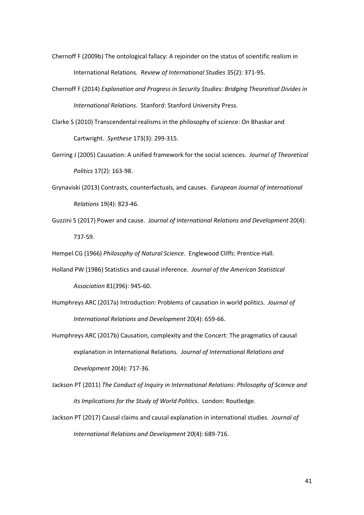- Chernoff F (2009b) The ontological fallacy: A rejoinder on the status of scientific realism in International Relations. *Review of International Studies* 35(2): 371-95.
- Chernoff F (2014) *Explanation and Progress in Security Studies: Bridging Theoretical Divides in International Relations*. Stanford: Stanford University Press.
- Clarke S (2010) Transcendental realisms in the philosophy of science: On Bhaskar and Cartwright. *Synthese* 173(3): 299-315.
- Gerring J (2005) Causation: A unified framework for the social sciences. *Journal of Theoretical Politics* 17(2): 163-98.
- Grynaviski (2013) Contrasts, counterfactuals, and causes. *European Journal of International Relations* 19(4): 823-46.
- Guzzini S (2017) Power and cause. *Journal of International Relations and Development* 20(4): 737-59.

Hempel CG (1966) *Philosophy of Natural Science*. Englewood Cliffs: Prentice-Hall.

- Holland PW (1986) Statistics and causal inference. *Journal of the American Statistical Association* 81(396): 945-60.
- Humphreys ARC (2017a) Introduction: Problems of causation in world politics. *Journal of International Relations and Development* 20(4): 659-66.
- Humphreys ARC (2017b) Causation, complexity and the Concert: The pragmatics of causal explanation in International Relations. *Journal of International Relations and Development* 20(4): 717-36.
- Jackson PT (2011) *The Conduct of Inquiry in International Relations: Philosophy of Science and its Implications for the Study of World Politics*. London: Routledge.
- Jackson PT (2017) Causal claims and causal explanation in international studies. *Journal of International Relations and Development* 20(4): 689-716.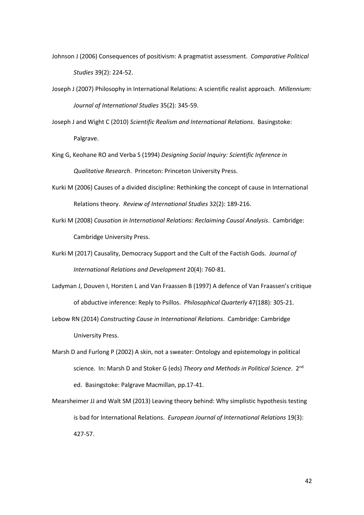- Johnson J (2006) Consequences of positivism: A pragmatist assessment. *Comparative Political Studies* 39(2): 224-52.
- Joseph J (2007) Philosophy in International Relations: A scientific realist approach. *Millennium: Journal of International Studies* 35(2): 345-59.
- Joseph J and Wight C (2010) *Scientific Realism and International Relations*. Basingstoke: Palgrave.
- King G, Keohane RO and Verba S (1994) *Designing Social Inquiry: Scientific Inference in Qualitative Research*. Princeton: Princeton University Press.
- Kurki M (2006) Causes of a divided discipline: Rethinking the concept of cause in International Relations theory. *Review of International Studies* 32(2): 189-216.
- Kurki M (2008) *Causation in International Relations: Reclaiming Causal Analysis*. Cambridge: Cambridge University Press.
- Kurki M (2017) Causality, Democracy Support and the Cult of the Factish Gods. *Journal of International Relations and Development* 20(4): 760-81.
- Ladyman J, Douven I, Horsten L and Van Fraassen B (1997) A defence of Van Fraassen's critique of abductive inference: Reply to Psillos. *Philosophical Quarterly* 47(188): 305-21.
- Lebow RN (2014) *Constructing Cause in International Relations*. Cambridge: Cambridge University Press.
- Marsh D and Furlong P (2002) A skin, not a sweater: Ontology and epistemology in political science. In: Marsh D and Stoker G (eds) *Theory and Methods in Political Science*. 2nd ed. Basingstoke: Palgrave Macmillan, pp.17-41.
- Mearsheimer JJ and Walt SM (2013) Leaving theory behind: Why simplistic hypothesis testing is bad for International Relations. *European Journal of International Relations* 19(3): 427-57.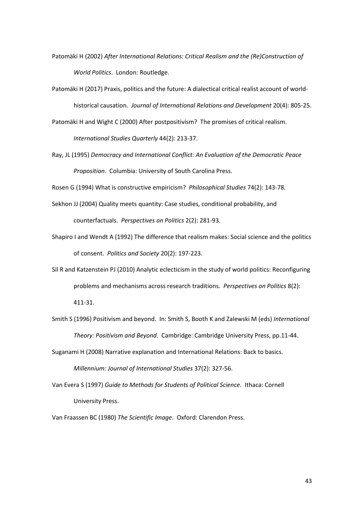- Patomäki H (2002) *After International Relations: Critical Realism and the (Re)Construction of World Politics*. London: Routledge.
- Patomäki H (2017) Praxis, politics and the future: A dialectical critical realist account of worldhistorical causation. *Journal of International Relations and Development* 20(4): 805-25.
- Patomäki H and Wight C (2000) After postpositivism? The promises of critical realism. *International Studies Quarterly* 44(2): 213-37.
- Ray, JL (1995) *Democracy and International Conflict: An Evaluation of the Democratic Peace Proposition*. Columbia: University of South Carolina Press.

Rosen G (1994) What is constructive empiricism? *Philosophical Studies* 74(2): 143-78.

- Sekhon JJ (2004) Quality meets quantity: Case studies, conditional probability, and counterfactuals. *Perspectives on Politics* 2(2): 281-93.
- Shapiro I and Wendt A (1992) The difference that realism makes: Social science and the politics of consent. *Politics and Society* 20(2): 197-223.
- Sil R and Katzenstein PJ (2010) Analytic eclecticism in the study of world politics: Reconfiguring problems and mechanisms across research traditions. *Perspectives on Politics* 8(2): 411-31.
- Smith S (1996) Positivism and beyond. In: Smith S, Booth K and Zalewski M (eds) *International Theory: Positivism and Beyond*. Cambridge: Cambridge University Press, pp.11-44.
- Suganami H (2008) Narrative explanation and International Relations: Back to basics.

*Millennium: Journal of International Studies* 37(2): 327-56.

Van Evera S (1997) *Guide to Methods for Students of Political Science*. Ithaca: Cornell University Press.

Van Fraassen BC (1980) *The Scientific Image*. Oxford: Clarendon Press.